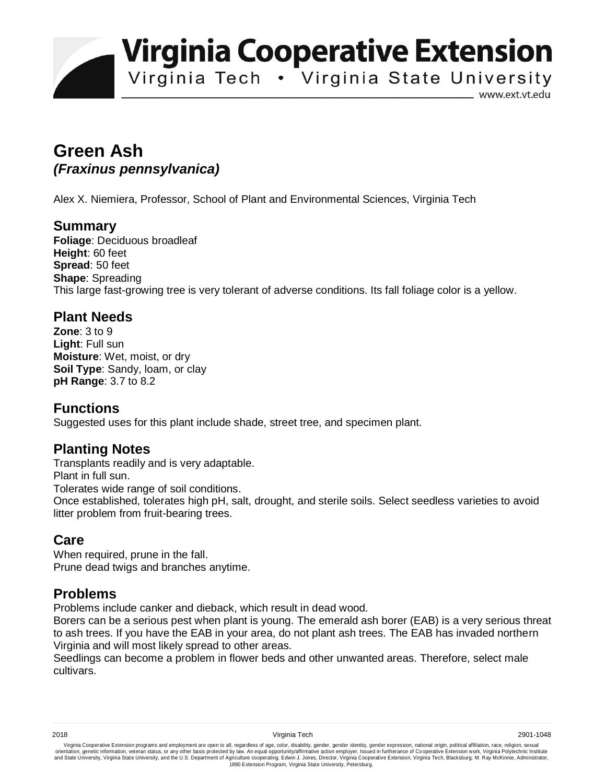**Virginia Cooperative Extension** 

Virginia Tech . Virginia State University

www.ext.vt.edu

# **Green Ash**  *(Fraxinus pennsylvanica)*

Alex X. Niemiera, Professor, School of Plant and Environmental Sciences, Virginia Tech

#### **Summary**

**Foliage**: Deciduous broadleaf **Height**: 60 feet **Spread**: 50 feet **Shape**: Spreading This large fast-growing tree is very tolerant of adverse conditions. Its fall foliage color is a yellow.

## **Plant Needs**

**Zone**: 3 to 9 **Light**: Full sun **Moisture**: Wet, moist, or dry **Soil Type**: Sandy, loam, or clay **pH Range**: 3.7 to 8.2

### **Functions**

Suggested uses for this plant include shade, street tree, and specimen plant.

# **Planting Notes**

Transplants readily and is very adaptable.

Plant in full sun.

Tolerates wide range of soil conditions.

Once established, tolerates high pH, salt, drought, and sterile soils. Select seedless varieties to avoid litter problem from fruit-bearing trees.

### **Care**

When required, prune in the fall. Prune dead twigs and branches anytime.

### **Problems**

Problems include canker and dieback, which result in dead wood.

Borers can be a serious pest when plant is young. The emerald ash borer (EAB) is a very serious threat to ash trees. If you have the EAB in your area, do not plant ash trees. The EAB has invaded northern Virginia and will most likely spread to other areas.

Seedlings can become a problem in flower beds and other unwanted areas. Therefore, select male cultivars.